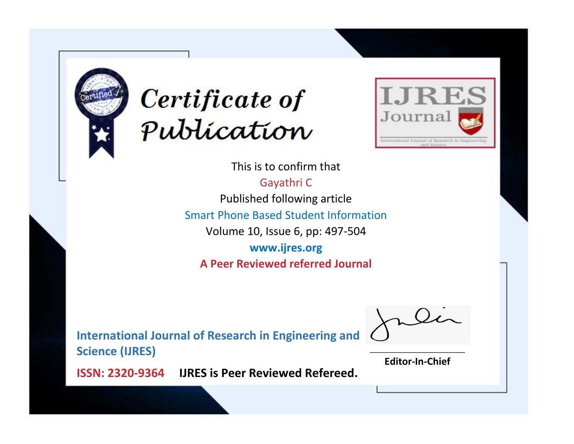



This is to confirm that

Gayathri C Published following article Smart Phone Based Student Information Volume 10, Issue 6, pp: 497-504 **www.ijres.org**

**A Peer Reviewed referred Journal**

**International Journal of Research in Engineering and Science (IJRES)**

\_\_\_\_\_\_\_\_\_\_\_\_\_\_\_\_\_\_\_\_\_\_\_\_ **Editor-In-Chief**

**Journal.**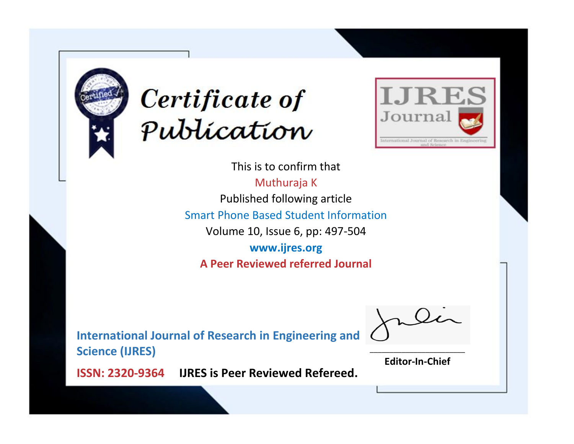



This is to confirm that Muthuraja K Published following article Smart Phone Based Student Information Volume 10, Issue 6, pp: 497-504 **www.ijres.org A Peer Reviewed referred Journal**

**International Journal of Research in Engineering and Science (IJRES)**

\_\_\_\_\_\_\_\_\_\_\_\_\_\_\_\_\_\_\_\_\_\_\_\_ **Editor-In-Chief**

**Journal.**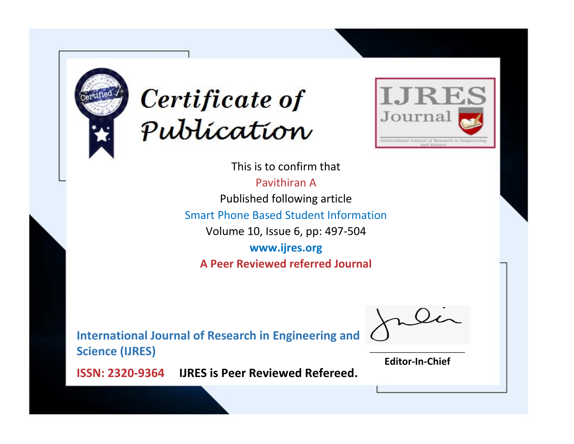



This is to confirm that Pavithiran A Published following article Smart Phone Based Student Information Volume 10, Issue 6, pp: 497-504 **www.ijres.org A Peer Reviewed referred Journal**

**International Journal of Research in Engineering and Science (IJRES)**

\_\_\_\_\_\_\_\_\_\_\_\_\_\_\_\_\_\_\_\_\_\_\_\_ **Editor-In-Chief**

**Journal.**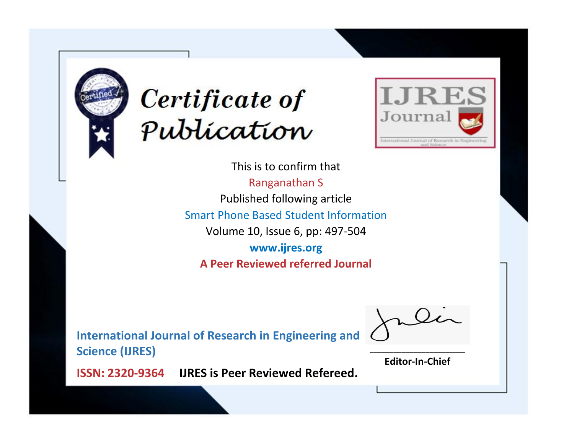



This is to confirm that Ranganathan S Published following article Smart Phone Based Student Information Volume 10, Issue 6, pp: 497-504 **www.ijres.org A Peer Reviewed referred Journal**

**International Journal of Research in Engineering and Science (IJRES)**

\_\_\_\_\_\_\_\_\_\_\_\_\_\_\_\_\_\_\_\_\_\_\_\_ **Editor-In-Chief**

**Journal.**